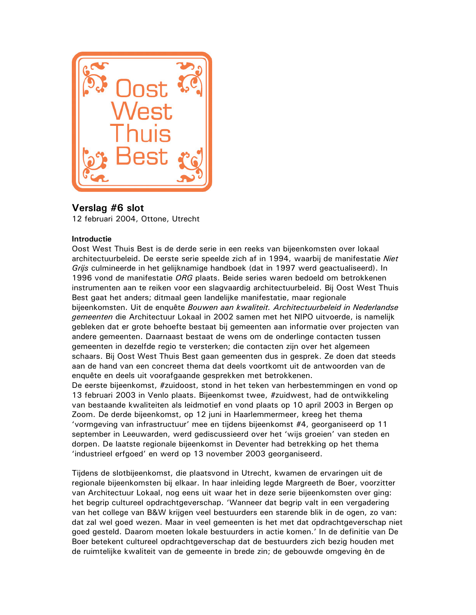

# Verslag #6 slot

12 februari 2004, Ottone, Utrecht

# **Introductie**

Oost West Thuis Best is de derde serie in een reeks van bijeenkomsten over lokaal architectuurbeleid. De eerste serie speelde zich af in 1994, waarbij de manifestatie Niet Grijs culmineerde in het gelijknamige handboek (dat in 1997 werd geactualiseerd). In 1996 vond de manifestatie ORG plaats. Beide series waren bedoeld om betrokkenen instrumenten aan te reiken voor een slagvaardig architectuurbeleid. Bij Oost West Thuis Best gaat het anders; ditmaal geen landelijke manifestatie, maar regionale bijeenkomsten. Uit de enquête Bouwen aan kwaliteit. Architectuurbeleid in Nederlandse gemeenten die Architectuur Lokaal in 2002 samen met het NIPO uitvoerde, is namelijk gebleken dat er grote behoefte bestaat bij gemeenten aan informatie over projecten van andere gemeenten. Daarnaast bestaat de wens om de onderlinge contacten tussen gemeenten in dezelfde regio te versterken; die contacten zijn over het algemeen schaars. Bij Oost West Thuis Best gaan gemeenten dus in gesprek. Ze doen dat steeds aan de hand van een concreet thema dat deels voortkomt uit de antwoorden van de enquête en deels uit voorafgaande gesprekken met betrokkenen.

De eerste bijeenkomst, #zuidoost, stond in het teken van herbestemmingen en vond op 13 februari 2003 in Venlo plaats. Bijeenkomst twee, #zuidwest, had de ontwikkeling van bestaande kwaliteiten als leidmotief en vond plaats op 10 april 2003 in Bergen op Zoom. De derde bijeenkomst, op 12 juni in Haarlemmermeer, kreeg het thema 'vormgeving van infrastructuur' mee en tijdens bijeenkomst #4, georganiseerd op 11 september in Leeuwarden, werd gediscussieerd over het 'wijs groeien' van steden en dorpen. De laatste regionale bijeenkomst in Deventer had betrekking op het thema 'industrieel erfgoed' en werd op 13 november 2003 georganiseerd.

Tijdens de slotbijeenkomst, die plaatsvond in Utrecht, kwamen de ervaringen uit de regionale bijeenkomsten bij elkaar. In haar inleiding legde Margreeth de Boer, voorzitter van Architectuur Lokaal, nog eens uit waar het in deze serie bijeenkomsten over ging: het begrip cultureel opdrachtgeverschap. 'Wanneer dat begrip valt in een vergadering van het college van B&W krijgen veel bestuurders een starende blik in de ogen, zo van: dat zal wel goed wezen. Maar in veel gemeenten is het met dat opdrachtgeverschap niet goed gesteld. Daarom moeten lokale bestuurders in actie komen.' In de definitie van De Boer betekent cultureel opdrachtgeverschap dat de bestuurders zich bezig houden met de ruimtelijke kwaliteit van de gemeente in brede zin; de gebouwde omgeving èn de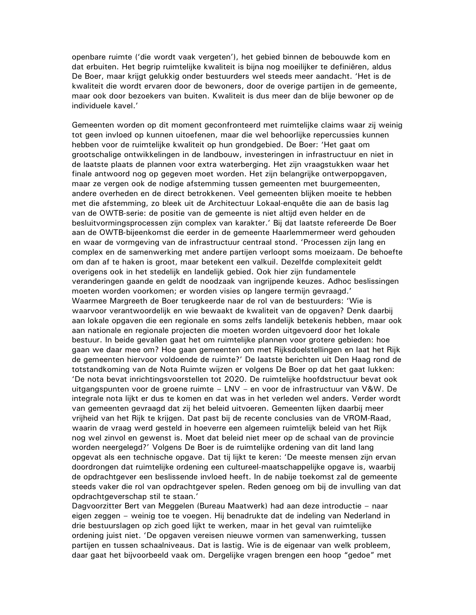openbare ruimte ('die wordt vaak vergeten'), het gebied binnen de bebouwde kom en dat erbuiten. Het begrip ruimtelijke kwaliteit is bijna nog moeilijker te definiëren, aldus De Boer, maar krijgt gelukkig onder bestuurders wel steeds meer aandacht. 'Het is de kwaliteit die wordt ervaren door de bewoners, door de overige partijen in de gemeente, maar ook door bezoekers van buiten. Kwaliteit is dus meer dan de blije bewoner op de individuele kavel.'

Gemeenten worden op dit moment geconfronteerd met ruimtelijke claims waar zij weinig tot geen invloed op kunnen uitoefenen, maar die wel behoorlijke repercussies kunnen hebben voor de ruimtelijke kwaliteit op hun grondgebied. De Boer: 'Het gaat om grootschalige ontwikkelingen in de landbouw, investeringen in infrastructuur en niet in de laatste plaats de plannen voor extra waterberging. Het zijn vraagstukken waar het finale antwoord nog op gegeven moet worden. Het zijn belangrijke ontwerpopgaven, maar ze vergen ook de nodige afstemming tussen gemeenten met buurgemeenten, andere overheden en de direct betrokkenen. Veel gemeenten blijken moeite te hebben met die afstemming, zo bleek uit de Architectuur Lokaal-enquête die aan de basis lag van de OWTB-serie: de positie van de gemeente is niet altijd even helder en de besluitvormingsprocessen zijn complex van karakter.' Bij dat laatste refereerde De Boer aan de OWTB-bijeenkomst die eerder in de gemeente Haarlemmermeer werd gehouden en waar de vormgeving van de infrastructuur centraal stond. 'Processen zijn lang en complex en de samenwerking met andere partijen verloopt soms moeizaam. De behoefte om dan af te haken is groot, maar betekent een valkuil. Dezelfde complexiteit geldt overigens ook in het stedelijk en landelijk gebied. Ook hier zijn fundamentele veranderingen gaande en geldt de noodzaak van ingrijpende keuzes. Adhoc beslissingen moeten worden voorkomen; er worden visies op langere termijn gevraagd.' Waarmee Margreeth de Boer terugkeerde naar de rol van de bestuurders: 'Wie is waarvoor verantwoordelijk en wie bewaakt de kwaliteit van de opgaven? Denk daarbij aan lokale opgaven die een regionale en soms zelfs landelijk betekenis hebben, maar ook aan nationale en regionale projecten die moeten worden uitgevoerd door het lokale bestuur. In beide gevallen gaat het om ruimtelijke plannen voor grotere gebieden: hoe gaan we daar mee om? Hoe gaan gemeenten om met Rijksdoelstellingen en laat het Rijk de gemeenten hiervoor voldoende de ruimte?' De laatste berichten uit Den Haag rond de totstandkoming van de Nota Ruimte wijzen er volgens De Boer op dat het gaat lukken: 'De nota bevat inrichtingsvoorstellen tot 2020. De ruimtelijke hoofdstructuur bevat ook uitgangspunten voor de groene ruimte - LNV - en voor de infrastructuur van V&W. De integrale nota lijkt er dus te komen en dat was in het verleden wel anders. Verder wordt van gemeenten gevraagd dat zij het beleid uitvoeren. Gemeenten lijken daarbij meer vrijheid van het Rijk te krijgen. Dat past bij de recente conclusies van de VROM-Raad, waarin de vraag werd gesteld in hoeverre een algemeen ruimtelijk beleid van het Rijk nog wel zinvol en gewenst is. Moet dat beleid niet meer op de schaal van de provincie worden neergelegd?' Volgens De Boer is de ruimtelijke ordening van dit land lang opgevat als een technische opgave. Dat tij lijkt te keren: 'De meeste mensen zijn ervan doordrongen dat ruimtelijke ordening een cultureel-maatschappelijke opgave is, waarbij de opdrachtgever een beslissende invloed heeft. In de nabije toekomst zal de gemeente steeds vaker die rol van opdrachtgever spelen. Reden genoeg om bij de invulling van dat opdrachtgeverschap stil te staan.'

Dagvoorzitter Bert van Meggelen (Bureau Maatwerk) had aan deze introductie - naar eigen zeggen – weinig toe te voegen. Hij benadrukte dat de indeling van Nederland in drie bestuurslagen op zich goed lijkt te werken, maar in het geval van ruimtelijke ordening juist niet. 'De opgaven vereisen nieuwe vormen van samenwerking, tussen partijen en tussen schaalniveaus. Dat is lastig. Wie is de eigenaar van welk probleem, daar gaat het bijvoorbeeld vaak om. Dergelijke vragen brengen een hoop "gedoe" met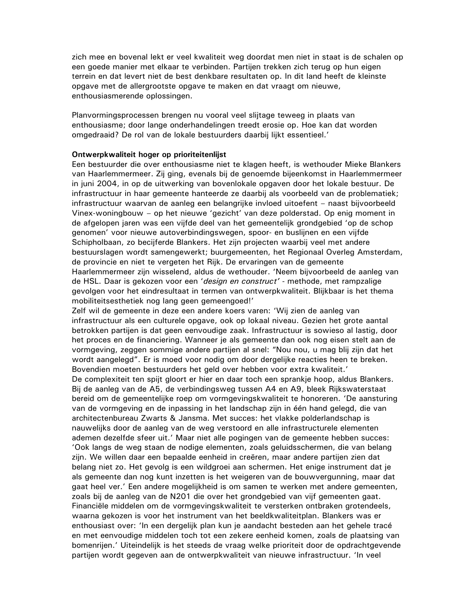zich mee en bovenal lekt er veel kwaliteit weg doordat men niet in staat is de schalen op een goede manier met elkaar te verbinden. Partijen trekken zich terug op hun eigen terrein en dat levert niet de best denkbare resultaten op. In dit land heeft de kleinste opgave met de allergrootste opgave te maken en dat vraagt om nieuwe, enthousiasmerende oplossingen.

Planvormingsprocessen brengen nu vooral veel slijtage teweeg in plaats van enthousiasme; door lange onderhandelingen treedt erosie op. Hoe kan dat worden omgedraaid? De rol van de lokale bestuurders daarbij lijkt essentieel.'

### Ontwerpkwaliteit hoger op prioriteitenlijst

Een bestuurder die over enthousiasme niet te klagen heeft, is wethouder Mieke Blankers van Haarlemmermeer. Zij ging, evenals bij de genoemde bijeenkomst in Haarlemmermeer in juni 2004, in op de uitwerking van bovenlokale opgaven door het lokale bestuur. De infrastructuur in haar gemeente hanteerde ze daarbij als voorbeeld van de problematiek; infrastructuur waarvan de aanleg een belangrijke invloed uitoefent – naast bijvoorbeeld Vinex-woningbouw - op het nieuwe 'gezicht' van deze polderstad. Op enig moment in de afgelopen jaren was een vijfde deel van het gemeentelijk grondgebied 'op de schop genomen' voor nieuwe autoverbindingswegen, spoor- en buslijnen en een vijfde Schipholbaan, zo becijferde Blankers. Het zijn projecten waarbij veel met andere bestuurslagen wordt samengewerkt; buurgemeenten, het Regionaal Overleg Amsterdam, de provincie en niet te vergeten het Rijk. De ervaringen van de gemeente Haarlemmermeer zijn wisselend, aldus de wethouder. 'Neem bijvoorbeeld de aanleg van de HSL. Daar is gekozen voor een 'design en construct' - methode, met rampzalige gevolgen voor het eindresultaat in termen van ontwerpkwaliteit. Blijkbaar is het thema mobiliteitsesthetiek nog lang geen gemeengoed!'

Zelf wil de gemeente in deze een andere koers varen: 'Wij zien de aanleg van infrastructuur als een culturele opgave, ook op lokaal niveau. Gezien het grote aantal betrokken partijen is dat geen eenvoudige zaak. Infrastructuur is sowieso al lastig, door het proces en de financiering. Wanneer je als gemeente dan ook nog eisen stelt aan de vormgeving, zeggen sommige andere partijen al snel: "Nou nou, u mag blij zijn dat het wordt aangelegd". Er is moed voor nodig om door dergelijke reacties heen te breken. Bovendien moeten bestuurders het geld over hebben voor extra kwaliteit.'

De complexiteit ten spijt gloort er hier en daar toch een sprankje hoop, aldus Blankers. Bij de aanleg van de A5, de verbindingsweg tussen A4 en A9, bleek Rijkswaterstaat bereid om de gemeentelijke roep om vormgevingskwaliteit te honoreren. 'De aansturing van de vormgeving en de inpassing in het landschap zijn in één hand gelegd, die van architectenbureau Zwarts & Jansma. Met succes: het vlakke polderlandschap is nauwelijks door de aanleg van de weg verstoord en alle infrastructurele elementen ademen dezelfde sfeer uit.' Maar niet alle pogingen van de gemeente hebben succes: 'Ook langs de weg staan de nodige elementen, zoals geluidsschermen, die van belang zijn. We willen daar een bepaalde eenheid in creëren, maar andere partijen zien dat belang niet zo. Het gevolg is een wildgroei aan schermen. Het enige instrument dat je als gemeente dan nog kunt inzetten is het weigeren van de bouwvergunning, maar dat gaat heel ver.' Een andere mogelijkheid is om samen te werken met andere gemeenten, zoals bij de aanleg van de N201 die over het grondgebied van vijf gemeenten gaat. Financiële middelen om de vormgevingskwaliteit te versterken ontbraken grotendeels, waarna gekozen is voor het instrument van het beeldkwaliteitplan. Blankers was er enthousiast over: 'In een dergelijk plan kun je aandacht besteden aan het gehele tracé en met eenvoudige middelen toch tot een zekere eenheid komen, zoals de plaatsing van bomenrijen.' Uiteindelijk is het steeds de vraag welke prioriteit door de opdrachtgevende partijen wordt gegeven aan de ontwerpkwaliteit van nieuwe infrastructuur. 'In veel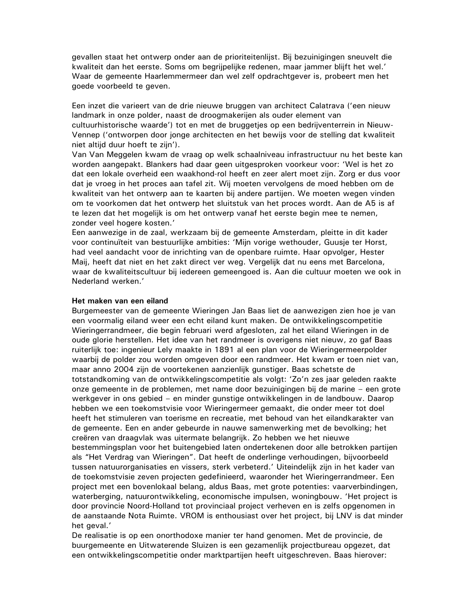gevallen staat het ontwerp onder aan de prioriteitenlijst. Bij bezuinigingen sneuvelt die kwaliteit dan het eerste. Soms om begrijpelijke redenen, maar jammer blijft het wel.' Waar de gemeente Haarlemmermeer dan wel zelf opdrachtgever is, probeert men het goede voorbeeld te geven.

Een inzet die varieert van de drie nieuwe bruggen van architect Calatrava ('een nieuw landmark in onze polder, naast de droogmakerijen als ouder element van cultuurhistorische waarde') tot en met de bruggeties op een bedrijventerrein in Nieuw-Vennep ('ontworpen door jonge architecten en het bewijs voor de stelling dat kwaliteit niet altijd duur hoeft te zijn').

Van Van Meggelen kwam de vraag op welk schaalniveau infrastructuur nu het beste kan worden aangepakt. Blankers had daar geen uitgesproken voorkeur voor: 'Wel is het zo dat een lokale overheid een waakhond-rol heeft en zeer alert moet zijn. Zorg er dus voor dat je vroeg in het proces aan tafel zit. Wij moeten vervolgens de moed hebben om de kwaliteit van het ontwerp aan te kaarten bij andere partijen. We moeten wegen vinden om te voorkomen dat het ontwerp het sluitstuk van het proces wordt. Aan de A5 is af te lezen dat het mogelijk is om het ontwerp vanaf het eerste begin mee te nemen, zonder veel hogere kosten.'

Een aanwezige in de zaal, werkzaam bij de gemeente Amsterdam, pleitte in dit kader voor continuïteit van bestuurlijke ambities: 'Mijn vorige wethouder, Guusje ter Horst, had veel aandacht voor de inrichting van de openbare ruimte. Haar opvolger, Hester Maij, heeft dat niet en het zakt direct ver weg. Vergelijk dat nu eens met Barcelona, waar de kwaliteitscultuur bij iedereen gemeengoed is. Aan die cultuur moeten we ook in Nederland werken.'

#### Het maken van een eiland

Burgemeester van de gemeente Wieringen Jan Baas liet de aanwezigen zien hoe je van een voormalig eiland weer een echt eiland kunt maken. De ontwikkelingscompetitie Wieringerrandmeer, die begin februari werd afgesloten, zal het eiland Wieringen in de oude glorie herstellen. Het idee van het randmeer is overigens niet nieuw, zo gaf Baas ruiterlijk toe: ingenieur Lely maakte in 1891 al een plan voor de Wieringermeerpolder waarbij de polder zou worden omgeven door een randmeer. Het kwam er toen niet van, maar anno 2004 zijn de voortekenen aanzienlijk gunstiger. Baas schetste de totstandkoming van de ontwikkelingscompetitie als volgt: 'Zo'n zes jaar geleden raakte onze gemeente in de problemen, met name door bezuinigingen bij de marine – een grote werkgever in ons gebied – en minder gunstige ontwikkelingen in de landbouw. Daarop hebben we een toekomstvisie voor Wieringermeer gemaakt, die onder meer tot doel heeft het stimuleren van toerisme en recreatie, met behoud van het eilandkarakter van de gemeente. Een en ander gebeurde in nauwe samenwerking met de bevolking; het creëren van draagvlak was uitermate belangrijk. Zo hebben we het nieuwe bestemmingsplan voor het buitengebied laten ondertekenen door alle betrokken partijen als "Het Verdrag van Wieringen". Dat heeft de onderlinge verhoudingen, bijvoorbeeld tussen natuurorganisaties en vissers, sterk verbeterd.' Uiteindelijk zijn in het kader van de toekomstvisie zeven projecten gedefinieerd, waaronder het Wieringerrandmeer. Een project met een bovenlokaal belang, aldus Baas, met grote potenties: vaarverbindingen, waterberging, natuurontwikkeling, economische impulsen, woningbouw. 'Het project is door provincie Noord-Holland tot provinciaal project verheven en is zelfs opgenomen in de aanstaande Nota Ruimte. VROM is enthousiast over het project, bij LNV is dat minder het geval.'

De realisatie is op een onorthodoxe manier ter hand genomen. Met de provincie, de buurgemeente en Uitwaterende Sluizen is een gezamenlijk projectbureau opgezet, dat een ontwikkelingscompetitie onder marktpartijen heeft uitgeschreven. Baas hierover: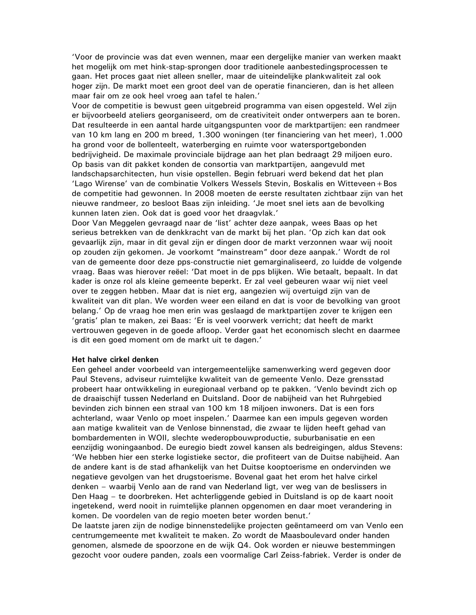'Voor de provincie was dat even wennen, maar een dergelijke manier van werken maakt het mogelijk om met hink-stap-sprongen door traditionele aanbestedingsprocessen te gaan. Het proces gaat niet alleen sneller, maar de uiteindelijke plankwaliteit zal ook hoger zijn. De markt moet een groot deel van de operatie financieren, dan is het alleen maar fair om ze ook heel vroeg aan tafel te halen.'

Voor de competitie is bewust geen uitgebreid programma van eisen opgesteld. Wel zijn er bijvoorbeeld ateliers georganiseerd, om de creativiteit onder ontwerpers aan te boren. Dat resulteerde in een aantal harde uitgangspunten voor de marktpartijen: een randmeer van 10 km lang en 200 m breed, 1.300 woningen (ter financiering van het meer), 1.000 ha grond voor de bollenteelt, waterberging en ruimte voor watersportgebonden bedrijvigheid. De maximale provinciale bijdrage aan het plan bedraagt 29 miljoen euro. Op basis van dit pakket konden de consortia van marktpartijen, aangevuld met landschapsarchitecten, hun visie opstellen. Begin februari werd bekend dat het plan 'Lago Wirense' van de combinatie Volkers Wessels Stevin, Boskalis en Witteveen+Bos de competitie had gewonnen. In 2008 moeten de eerste resultaten zichtbaar zijn van het nieuwe randmeer, zo besloot Baas zijn inleiding. 'Je moet snel iets aan de bevolking kunnen laten zien. Ook dat is goed voor het draagvlak.'

Door Van Meggelen gevraagd naar de 'list' achter deze aanpak, wees Baas op het serieus betrekken van de denkkracht van de markt bij het plan. 'Op zich kan dat ook gevaarlijk zijn, maar in dit geval zijn er dingen door de markt verzonnen waar wij nooit op zouden zijn gekomen. Je voorkomt "mainstream" door deze aanpak.' Wordt de rol van de gemeente door deze pps-constructie niet gemarginaliseerd, zo luidde de volgende vraag. Baas was hierover reëel: 'Dat moet in de pps blijken. Wie betaalt, bepaalt. In dat kader is onze rol als kleine gemeente beperkt. Er zal veel gebeuren waar wij niet veel over te zeggen hebben. Maar dat is niet erg, aangezien wij overtuigd zijn van de kwaliteit van dit plan. We worden weer een eiland en dat is voor de bevolking van groot belang.' Op de vraag hoe men erin was geslaagd de marktpartijen zover te krijgen een 'gratis' plan te maken, zei Baas: 'Er is veel voorwerk verricht; dat heeft de markt vertrouwen gegeven in de goede afloop. Verder gaat het economisch slecht en daarmee is dit een goed moment om de markt uit te dagen.'

#### Het halve cirkel denken

Een geheel ander voorbeeld van intergemeentelijke samenwerking werd gegeven door Paul Stevens, adviseur ruimtelijke kwaliteit van de gemeente Venlo. Deze grensstad probeert haar ontwikkeling in euregionaal verband op te pakken. 'Venlo bevindt zich op de draaischijf tussen Nederland en Duitsland. Door de nabijheid van het Ruhrgebied bevinden zich binnen een straal van 100 km 18 miljoen inwoners. Dat is een fors achterland, waar Venlo op moet inspelen.' Daarmee kan een impuls gegeven worden aan matige kwaliteit van de Venlose binnenstad, die zwaar te lijden heeft gehad van bombardementen in WOII, slechte wederopbouwproductie, suburbanisatie en een eenzijdig woningaanbod. De euregio biedt zowel kansen als bedreigingen, aldus Stevens: 'We hebben hier een sterke logistieke sector, die profiteert van de Duitse nabijheid. Aan de andere kant is de stad afhankelijk van het Duitse kooptoerisme en ondervinden we negatieve gevolgen van het drugstoerisme. Bovenal gaat het erom het halve cirkel denken - waarbij Venlo aan de rand van Nederland ligt, ver weg van de beslissers in Den Haag - te doorbreken. Het achterliggende gebied in Duitsland is op de kaart nooit ingetekend, werd nooit in ruimtelijke plannen opgenomen en daar moet verandering in komen. De voordelen van de regio moeten beter worden benut.'

De laatste jaren zijn de nodige binnenstedelijke projecten geëntameerd om van Venlo een centrumgemeente met kwaliteit te maken. Zo wordt de Maasboulevard onder handen genomen, alsmede de spoorzone en de wijk Q4. Ook worden er nieuwe bestemmingen gezocht voor oudere panden, zoals een voormalige Carl Zeiss-fabriek. Verder is onder de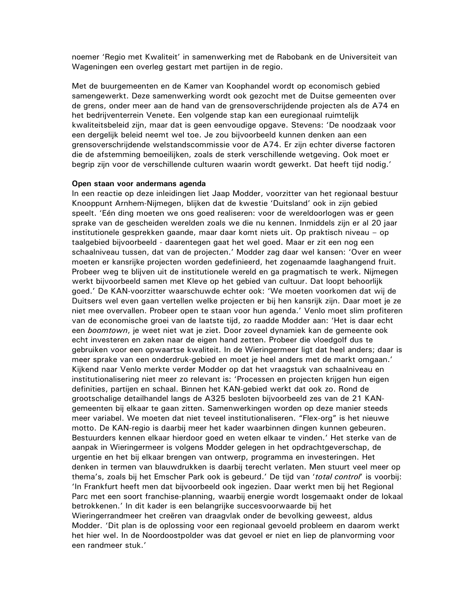noemer 'Regio met Kwaliteit' in samenwerking met de Rabobank en de Universiteit van Wageningen een overleg gestart met partijen in de regio.

Met de buurgemeenten en de Kamer van Koophandel wordt op economisch gebied samengewerkt. Deze samenwerking wordt ook gezocht met de Duitse gemeenten over de grens, onder meer aan de hand van de grensoverschrijdende projecten als de A74 en het bedrijventerrein Venete. Een volgende stap kan een euregionaal ruimtelijk kwaliteitsbeleid zijn, maar dat is geen eenvoudige opgave. Stevens: 'De noodzaak voor een dergelijk beleid neemt wel toe. Je zou bijvoorbeeld kunnen denken aan een grensoverschrijdende welstandscommissie voor de A74. Er zijn echter diverse factoren die de afstemming bemoeilijken, zoals de sterk verschillende wetgeving. Ook moet er begrip zijn voor de verschillende culturen waarin wordt gewerkt. Dat heeft tijd nodig.'

#### Open staan voor andermans agenda

In een reactie op deze inleidingen liet Jaap Modder, voorzitter van het regionaal bestuur Knooppunt Arnhem-Nijmegen, blijken dat de kwestie 'Duitsland' ook in zijn gebied speelt. 'Eén ding moeten we ons goed realiseren: voor de wereldoorlogen was er geen sprake van de gescheiden werelden zoals we die nu kennen. Inmiddels zijn er al 20 jaar institutionele gesprekken gaande, maar daar komt niets uit. Op praktisch niveau – op taalgebied bijvoorbeeld - daarentegen gaat het wel goed. Maar er zit een nog een schaalniveau tussen, dat van de projecten.' Modder zag daar wel kansen: 'Over en weer moeten er kansrijke projecten worden gedefinieerd, het zogenaamde laaghangend fruit. Probeer weg te blijven uit de institutionele wereld en ga pragmatisch te werk. Nijmegen werkt bijvoorbeeld samen met Kleve op het gebied van cultuur. Dat loopt behoorlijk goed.' De KAN-voorzitter waarschuwde echter ook: 'We moeten voorkomen dat wij de Duitsers wel even gaan vertellen welke projecten er bij hen kansrijk zijn. Daar moet je ze niet mee overvallen. Probeer open te staan voor hun agenda.' Venlo moet slim profiteren van de economische groei van de laatste tijd, zo raadde Modder aan: 'Het is daar echt een boomtown, je weet niet wat je ziet. Door zoveel dynamiek kan de gemeente ook echt investeren en zaken naar de eigen hand zetten. Probeer die vloedgolf dus te gebruiken voor een opwaartse kwaliteit. In de Wieringermeer ligt dat heel anders; daar is meer sprake van een onderdruk-gebied en moet je heel anders met de markt omgaan.' Kijkend naar Venlo merkte verder Modder op dat het vraagstuk van schaalniveau en institutionalisering niet meer zo relevant is: 'Processen en projecten krijgen hun eigen definities, partijen en schaal. Binnen het KAN-gebied werkt dat ook zo. Rond de grootschalige detailhandel langs de A325 besloten bijvoorbeeld zes van de 21 KANgemeenten bij elkaar te gaan zitten. Samenwerkingen worden op deze manier steeds meer variabel. We moeten dat niet teveel institutionaliseren. "Flex-org" is het nieuwe motto. De KAN-regio is daarbij meer het kader waarbinnen dingen kunnen gebeuren. Bestuurders kennen elkaar hierdoor goed en weten elkaar te vinden.' Het sterke van de aanpak in Wieringermeer is volgens Modder gelegen in het opdrachtgeverschap, de urgentie en het bij elkaar brengen van ontwerp, programma en investeringen. Het denken in termen van blauwdrukken is daarbij terecht verlaten. Men stuurt veel meer op thema's, zoals bij het Emscher Park ook is gebeurd.' De tijd van 'total control' is voorbij: 'In Frankfurt heeft men dat bijvoorbeeld ook ingezien. Daar werkt men bij het Regional Parc met een soort franchise-planning, waarbij energie wordt losgemaakt onder de lokaal betrokkenen.' In dit kader is een belangrijke succesvoorwaarde bij het Wieringerrandmeer het creëren van draagvlak onder de bevolking geweest, aldus Modder. 'Dit plan is de oplossing voor een regionaal gevoeld probleem en daarom werkt het hier wel. In de Noordoostpolder was dat gevoel er niet en liep de planvorming voor een randmeer stuk.'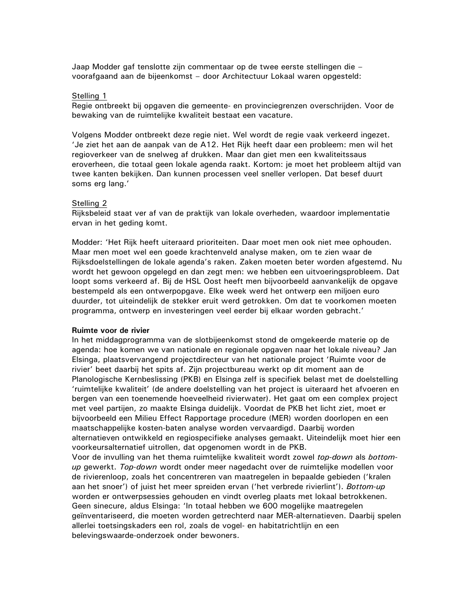Jaap Modder gaf tenslotte zijn commentaar op de twee eerste stellingen die voorafgaand aan de bijeenkomst - door Architectuur Lokaal waren opgesteld:

#### Stelling 1

Regie ontbreekt bij opgaven die gemeente- en provinciegrenzen overschrijden. Voor de bewaking van de ruimtelijke kwaliteit bestaat een vacature.

Volgens Modder ontbreekt deze regie niet. Wel wordt de regie vaak verkeerd ingezet. 'Je ziet het aan de aanpak van de A12. Het Rijk heeft daar een probleem: men wil het regioverkeer van de snelweg af drukken. Maar dan giet men een kwaliteitssaus eroverheen, die totaal geen lokale agenda raakt. Kortom: je moet het probleem altijd van twee kanten bekijken. Dan kunnen processen veel sneller verlopen. Dat besef duurt soms erg lang.'

#### Stelling 2

Rijksbeleid staat ver af van de praktijk van lokale overheden, waardoor implementatie ervan in het geding komt.

Modder: 'Het Rijk heeft uiteraard prioriteiten. Daar moet men ook niet mee ophouden. Maar men moet wel een goede krachtenveld analyse maken, om te zien waar de Rijksdoelstellingen de lokale agenda's raken. Zaken moeten beter worden afgestemd. Nu wordt het gewoon opgelegd en dan zegt men: we hebben een uitvoeringsprobleem. Dat loopt soms verkeerd af. Bij de HSL Oost heeft men bijvoorbeeld aanvankelijk de opgave bestempeld als een ontwerpopgave. Elke week werd het ontwerp een miljoen euro duurder, tot uiteindelijk de stekker eruit werd getrokken. Om dat te voorkomen moeten programma, ontwerp en investeringen veel eerder bij elkaar worden gebracht.'

#### Ruimte voor de rivier

In het middagprogramma van de slotbijeenkomst stond de omgekeerde materie op de agenda: hoe komen we van nationale en regionale opgaven naar het lokale niveau? Jan Elsinga, plaatsvervangend projectdirecteur van het nationale project 'Ruimte voor de rivier' beet daarbij het spits af. Zijn projectbureau werkt op dit moment aan de Planologische Kernbeslissing (PKB) en Elsinga zelf is specifiek belast met de doelstelling 'ruimtelijke kwaliteit' (de andere doelstelling van het project is uiteraard het afvoeren en bergen van een toenemende hoeveelheid rivierwater). Het gaat om een complex project met veel partijen, zo maakte Elsinga duidelijk. Voordat de PKB het licht ziet, moet er bijvoorbeeld een Milieu Effect Rapportage procedure (MER) worden doorlopen en een maatschappelijke kosten-baten analyse worden vervaardigd. Daarbij worden alternatieven ontwikkeld en regiospecifieke analyses gemaakt. Uiteindelijk moet hier een voorkeursalternatief uitrollen, dat opgenomen wordt in de PKB.

Voor de invulling van het thema ruimtelijke kwaliteit wordt zowel top-down als bottomup gewerkt. Top-down wordt onder meer nagedacht over de ruimtelijke modellen voor de rivierenloop, zoals het concentreren van maatregelen in bepaalde gebieden ('kralen aan het snoer') of juist het meer spreiden ervan ('het verbrede rivierlint'). Bottom-up worden er ontwerpsessies gehouden en vindt overleg plaats met lokaal betrokkenen. Geen sinecure, aldus Elsinga: 'In totaal hebben we 600 mogelijke maatregelen geïnventariseerd, die moeten worden getrechterd naar MER-alternatieven. Daarbij spelen allerlei toetsingskaders een rol, zoals de vogel- en habitatrichtlijn en een belevingswaarde-onderzoek onder bewoners.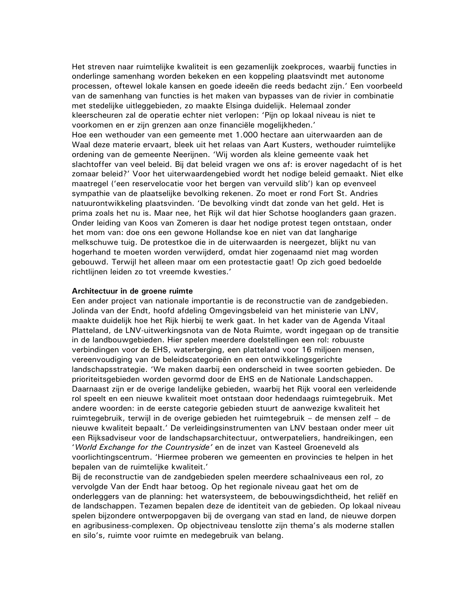Het streven naar ruimtelijke kwaliteit is een gezamenlijk zoekproces, waarbij functies in onderlinge samenhang worden bekeken en een koppeling plaatsvindt met autonome processen, oftewel lokale kansen en goede ideeën die reeds bedacht zijn.' Een voorbeeld van de samenhang van functies is het maken van bypasses van de rivier in combinatie met stedelijke uitleggebieden, zo maakte Elsinga duidelijk. Helemaal zonder kleerscheuren zal de operatie echter niet verlopen: 'Pijn op lokaal niveau is niet te voorkomen en er zijn grenzen aan onze financiële mogelijkheden.' Hoe een wethouder van een gemeente met 1.000 hectare aan uiterwaarden aan de Waal deze materie ervaart, bleek uit het relaas van Aart Kusters, wethouder ruimtelijke ordening van de gemeente Neerijnen. 'Wij worden als kleine gemeente vaak het slachtoffer van veel beleid. Bij dat beleid vragen we ons af: is erover nagedacht of is het zomaar beleid?' Voor het uiterwaardengebied wordt het nodige beleid gemaakt. Niet elke maatregel ('een reservelocatie voor het bergen van vervuild slib') kan op evenveel sympathie van de plaatselijke bevolking rekenen. Zo moet er rond Fort St. Andries natuurontwikkeling plaatsvinden. 'De bevolking vindt dat zonde van het geld. Het is prima zoals het nu is. Maar nee, het Rijk wil dat hier Schotse hooglanders gaan grazen. Onder leiding van Koos van Zomeren is daar het nodige protest tegen ontstaan, onder het mom van: doe ons een gewone Hollandse koe en niet van dat langharige melkschuwe tuig. De protestkoe die in de uiterwaarden is neergezet, blijkt nu van hogerhand te moeten worden verwijderd, omdat hier zogenaamd niet mag worden gebouwd. Terwijl het alleen maar om een protestactie gaat! Op zich goed bedoelde richtlijnen leiden zo tot vreemde kwesties.'

#### Architectuur in de groene ruimte

Een ander project van nationale importantie is de reconstructie van de zandgebieden. Jolinda van der Endt, hoofd afdeling Omgevingsbeleid van het ministerie van LNV, maakte duidelijk hoe het Rijk hierbij te werk gaat. In het kader van de Agenda Vitaal Platteland, de LNV-uitwerkingsnota van de Nota Ruimte, wordt ingegaan op de transitie in de landbouwgebieden. Hier spelen meerdere doelstellingen een rol: robuuste verbindingen voor de EHS, waterberging, een platteland voor 16 miljoen mensen, vereenvoudiging van de beleidscategorieën en een ontwikkelingsgerichte landschapsstrategie. 'We maken daarbij een onderscheid in twee soorten gebieden. De prioriteitsgebieden worden gevormd door de EHS en de Nationale Landschappen. Daarnaast zijn er de overige landelijke gebieden, waarbij het Rijk vooral een verleidende rol speelt en een nieuwe kwaliteit moet ontstaan door hedendaags ruimtegebruik. Met andere woorden: in de eerste categorie gebieden stuurt de aanwezige kwaliteit het ruimtegebruik, terwijl in de overige gebieden het ruimtegebruik – de mensen zelf – de nieuwe kwaliteit bepaalt.' De verleidingsinstrumenten van LNV bestaan onder meer uit een Rijksadviseur voor de landschapsarchitectuur, ontwerpateliers, handreikingen, een 'World Exchange for the Countryside' en de inzet van Kasteel Groeneveld als voorlichtingscentrum. 'Hiermee proberen we gemeenten en provincies te helpen in het bepalen van de ruimtelijke kwaliteit.'

Bij de reconstructie van de zandgebieden spelen meerdere schaalniveaus een rol, zo vervolgde Van der Endt haar betoog. Op het regionale niveau gaat het om de onderleggers van de planning: het watersysteem, de bebouwingsdichtheid, het reliëf en de landschappen. Tezamen bepalen deze de identiteit van de gebieden. Op lokaal niveau spelen bijzondere ontwerpopgaven bij de overgang van stad en land, de nieuwe dorpen en agribusiness-complexen. Op objectniveau tenslotte zijn thema's als moderne stallen en silo's, ruimte voor ruimte en medegebruik van belang.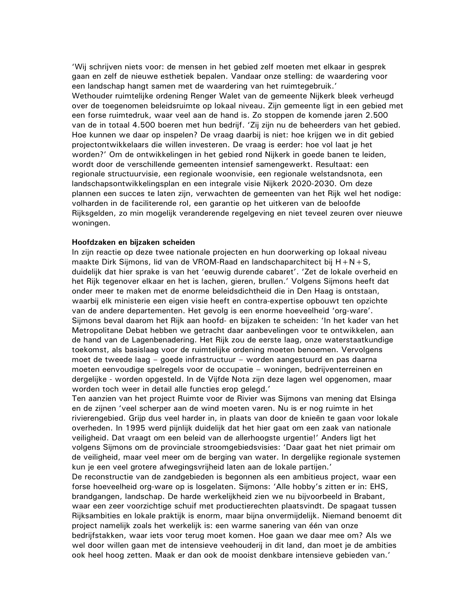'Wij schrijven niets voor: de mensen in het gebied zelf moeten met elkaar in gesprek gaan en zelf de nieuwe esthetiek bepalen. Vandaar onze stelling: de waardering voor een landschap hangt samen met de waardering van het ruimtegebruik.' Wethouder ruimtelijke ordening Renger Walet van de gemeente Nijkerk bleek verheugd over de toegenomen beleidsruimte op lokaal niveau. Zijn gemeente ligt in een gebied met een forse ruimtedruk, waar veel aan de hand is. Zo stoppen de komende jaren 2.500 van de in totaal 4.500 boeren met hun bedrijf. 'Zij zijn nu de beheerders van het gebied. Hoe kunnen we daar op inspelen? De vraag daarbij is niet: hoe krijgen we in dit gebied projectontwikkelaars die willen investeren. De vraag is eerder: hoe vol laat je het worden?' Om de ontwikkelingen in het gebied rond Nijkerk in goede banen te leiden, wordt door de verschillende gemeenten intensief samengewerkt. Resultaat: een regionale structuurvisie, een regionale woonvisie, een regionale welstandsnota, een landschapsontwikkelingsplan en een integrale visie Nijkerk 2020-2030. Om deze plannen een succes te laten zijn, verwachten de gemeenten van het Rijk wel het nodige: volharden in de faciliterende rol, een garantie op het uitkeren van de beloofde Rijksgelden, zo min mogelijk veranderende regelgeving en niet teveel zeuren over nieuwe woningen.

#### Hoofdzaken en bijzaken scheiden

In zijn reactie op deze twee nationale projecten en hun doorwerking op lokaal niveau maakte Dirk Sijmons, lid van de VROM-Raad en landschaparchitect bij  $H + N + S$ , duidelijk dat hier sprake is van het 'eeuwig durende cabaret'. 'Zet de lokale overheid en het Rijk tegenover elkaar en het is lachen, gieren, brullen.' Volgens Sijmons heeft dat onder meer te maken met de enorme beleidsdichtheid die in Den Haag is ontstaan, waarbij elk ministerie een eigen visie heeft en contra-expertise opbouwt ten opzichte van de andere departementen. Het gevolg is een enorme hoeveelheid 'org-ware'. Sijmons beval daarom het Rijk aan hoofd- en bijzaken te scheiden: 'In het kader van het Metropolitane Debat hebben we getracht daar aanbevelingen voor te ontwikkelen, aan de hand van de Lagenbenadering. Het Rijk zou de eerste laag, onze waterstaatkundige toekomst, als basislaag voor de ruimtelijke ordening moeten benoemen. Vervolgens moet de tweede laag – goede infrastructuur – worden aangestuurd en pas daarna moeten eenvoudige spelregels voor de occupatie - woningen, bedrijventerreinen en dergelijke - worden opgesteld. In de Vijfde Nota zijn deze lagen wel opgenomen, maar worden toch weer in detail alle functies erop gelegd.'

Ten aanzien van het project Ruimte voor de Rivier was Sijmons van mening dat Elsinga en de zijnen 'veel scherper aan de wind moeten varen. Nu is er nog ruimte in het rivierengebied. Grijp dus veel harder in, in plaats van door de knieën te gaan voor lokale overheden. In 1995 werd pijnlijk duidelijk dat het hier gaat om een zaak van nationale veiligheid. Dat vraagt om een beleid van de allerhoogste urgentie!' Anders ligt het volgens Sijmons om de provinciale stroomgebiedsvisies: 'Daar gaat het niet primair om de veiligheid, maar veel meer om de berging van water. In dergelijke regionale systemen kun je een veel grotere afwegingsvrijheid laten aan de lokale partijen.'

De reconstructie van de zandgebieden is begonnen als een ambitieus project, waar een forse hoeveelheid org-ware op is losgelaten. Sijmons: 'Alle hobby's zitten er in: EHS, brandgangen, landschap. De harde werkelijkheid zien we nu bijvoorbeeld in Brabant, waar een zeer voorzichtige schuif met productierechten plaatsvindt. De spagaat tussen Rijksambities en lokale praktijk is enorm, maar bijna onvermijdelijk. Niemand benoemt dit project namelijk zoals het werkelijk is: een warme sanering van één van onze bedrijfstakken, waar iets voor terug moet komen. Hoe gaan we daar mee om? Als we wel door willen gaan met de intensieve veehouderij in dit land, dan moet je de ambities ook heel hoog zetten. Maak er dan ook de mooist denkbare intensieve gebieden van.'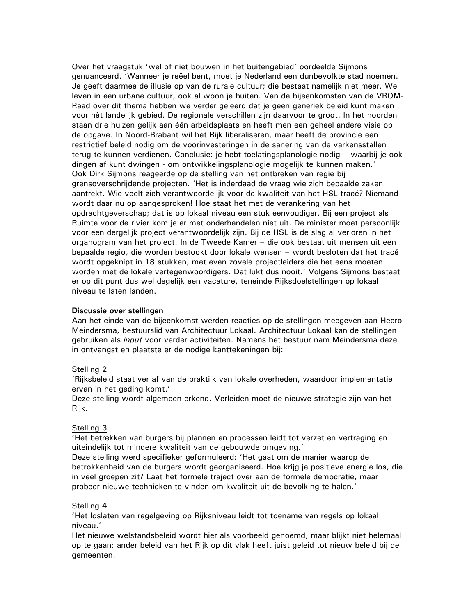Over het vraagstuk 'wel of niet bouwen in het buitengebied' oordeelde Sijmons genuanceerd. 'Wanneer je reëel bent, moet je Nederland een dunbevolkte stad noemen. Je geeft daarmee de illusie op van de rurale cultuur; die bestaat namelijk niet meer. We leven in een urbane cultuur, ook al woon je buiten. Van de bijeenkomsten van de VROM-Raad over dit thema hebben we verder geleerd dat je geen generiek beleid kunt maken voor hèt landelijk gebied. De regionale verschillen zijn daarvoor te groot. In het noorden staan drie huizen gelijk aan één arbeidsplaats en heeft men een geheel andere visie op de opgave. In Noord-Brabant wil het Rijk liberaliseren, maar heeft de provincie een restrictief beleid nodig om de voorinvesteringen in de sanering van de varkensstallen terug te kunnen verdienen. Conclusie: je hebt toelatingsplanologie nodig - waarbij je ook dingen af kunt dwingen - om ontwikkelingsplanologie mogelijk te kunnen maken.' Ook Dirk Sijmons reageerde op de stelling van het ontbreken van regie bij grensoverschrijdende projecten. 'Het is inderdaad de vraag wie zich bepaalde zaken aantrekt. Wie voelt zich verantwoordelijk voor de kwaliteit van het HSL-tracé? Niemand wordt daar nu op aangesproken! Hoe staat het met de verankering van het opdrachtgeverschap; dat is op lokaal niveau een stuk eenvoudiger. Bij een project als Ruimte voor de rivier kom je er met onderhandelen niet uit. De minister moet persoonlijk voor een dergelijk project verantwoordelijk zijn. Bij de HSL is de slag al verloren in het organogram van het project. In de Tweede Kamer - die ook bestaat uit mensen uit een bepaalde regio, die worden bestookt door lokale wensen – wordt besloten dat het tracé wordt opgeknipt in 18 stukken, met even zovele projectleiders die het eens moeten worden met de lokale vertegenwoordigers. Dat lukt dus nooit.' Volgens Sijmons bestaat er op dit punt dus wel degelijk een vacature, teneinde Rijksdoelstellingen op lokaal niveau te laten landen.

#### Discussie over stellingen

Aan het einde van de bijeenkomst werden reacties op de stellingen meegeven aan Heero Meindersma, bestuurslid van Architectuur Lokaal. Architectuur Lokaal kan de stellingen gebruiken als *input* voor verder activiteiten. Namens het bestuur nam Meindersma deze in ontvangst en plaatste er de nodige kanttekeningen bij:

### Stelling 2

'Rijksbeleid staat ver af van de praktijk van lokale overheden, waardoor implementatie ervan in het geding komt.'

Deze stelling wordt algemeen erkend. Verleiden moet de nieuwe strategie zijn van het Rijk.

#### Stelling 3

'Het betrekken van burgers bij plannen en processen leidt tot verzet en vertraging en uiteindelijk tot mindere kwaliteit van de gebouwde omgeving.'

Deze stelling werd specifieker geformuleerd: 'Het gaat om de manier waarop de betrokkenheid van de burgers wordt georganiseerd. Hoe krijg je positieve energie los, die in veel groepen zit? Laat het formele traject over aan de formele democratie, maar probeer nieuwe technieken te vinden om kwaliteit uit de bevolking te halen.'

#### Stelling 4

'Het loslaten van regelgeving op Rijksniveau leidt tot toename van regels op lokaal niveau.'

Het nieuwe welstandsbeleid wordt hier als voorbeeld genoemd, maar blijkt niet helemaal op te gaan: ander beleid van het Rijk op dit vlak heeft juist geleid tot nieuw beleid bij de gemeenten.